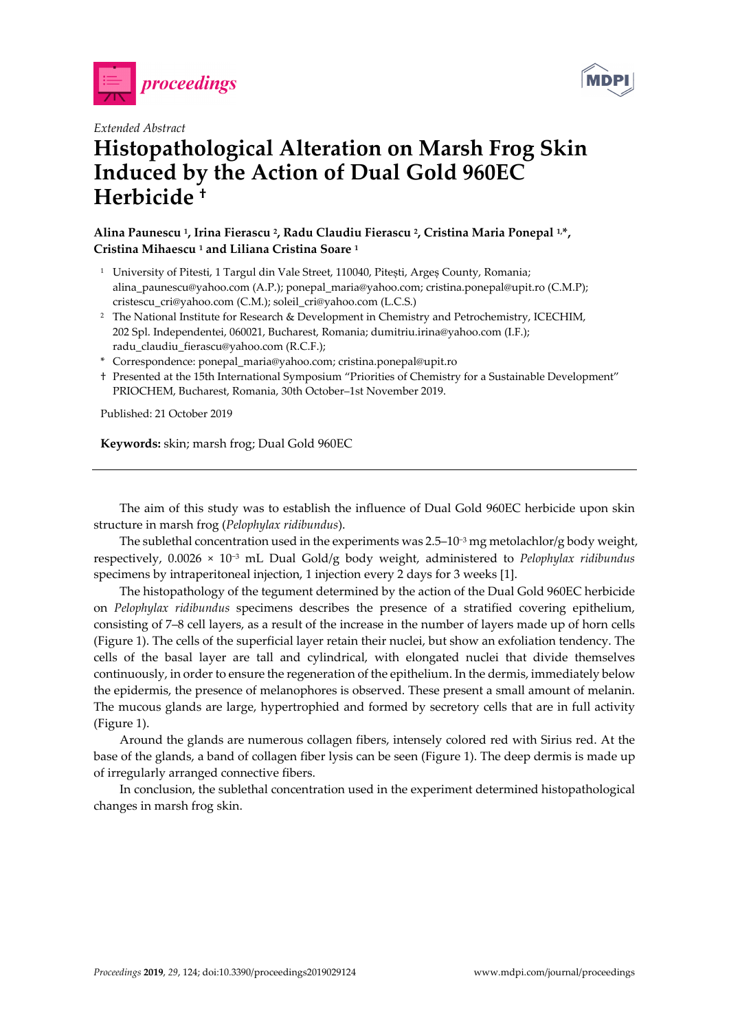



## *Extended Abstract*  **Histopathological Alteration on Marsh Frog Skin Induced by the Action of Dual Gold 960EC Herbicide †**

## **Alina Paunescu 1, Irina Fierascu 2, Radu Claudiu Fierascu 2, Cristina Maria Ponepal 1,\*, Cristina Mihaescu 1 and Liliana Cristina Soare 1**

- <sup>1</sup> University of Pitesti, 1 Targul din Vale Street, 110040, Pitești, Argeș County, Romania; alina\_paunescu@yahoo.com (A.P.); ponepal\_maria@yahoo.com; cristina.ponepal@upit.ro (C.M.P); cristescu\_cri@yahoo.com (C.M.); soleil\_cri@yahoo.com (L.C.S.)
- <sup>2</sup> The National Institute for Research & Development in Chemistry and Petrochemistry, ICECHIM, 202 Spl. Independentei, 060021, Bucharest, Romania; dumitriu.irina@yahoo.com (I.F.); radu\_claudiu\_fierascu@yahoo.com (R.C.F.);
- \* Correspondence: ponepal\_maria@yahoo.com; cristina.ponepal@upit.ro
- † Presented at the 15th International Symposium "Priorities of Chemistry for a Sustainable Development" PRIOCHEM, Bucharest, Romania, 30th October–1st November 2019.

Published: 21 October 2019

**Keywords:** skin; marsh frog; Dual Gold 960EC

The aim of this study was to establish the influence of Dual Gold 960EC herbicide upon skin structure in marsh frog (*Pelophylax ridibundus*).

The sublethal concentration used in the experiments was 2.5–10<sup>-3</sup> mg metolachlor/g body weight, respectively, 0.0026 × 10−3 mL Dual Gold/g body weight, administered to *Pelophylax ridibundus* specimens by intraperitoneal injection, 1 injection every 2 days for 3 weeks [1].

The histopathology of the tegument determined by the action of the Dual Gold 960EC herbicide on *Pelophylax ridibundus* specimens describes the presence of a stratified covering epithelium, consisting of 7–8 cell layers, as a result of the increase in the number of layers made up of horn cells (Figure 1). The cells of the superficial layer retain their nuclei, but show an exfoliation tendency. The cells of the basal layer are tall and cylindrical, with elongated nuclei that divide themselves continuously, in order to ensure the regeneration of the epithelium. In the dermis, immediately below the epidermis, the presence of melanophores is observed. These present a small amount of melanin. The mucous glands are large, hypertrophied and formed by secretory cells that are in full activity (Figure 1).

Around the glands are numerous collagen fibers, intensely colored red with Sirius red. At the base of the glands, a band of collagen fiber lysis can be seen (Figure 1). The deep dermis is made up of irregularly arranged connective fibers.

In conclusion, the sublethal concentration used in the experiment determined histopathological changes in marsh frog skin.